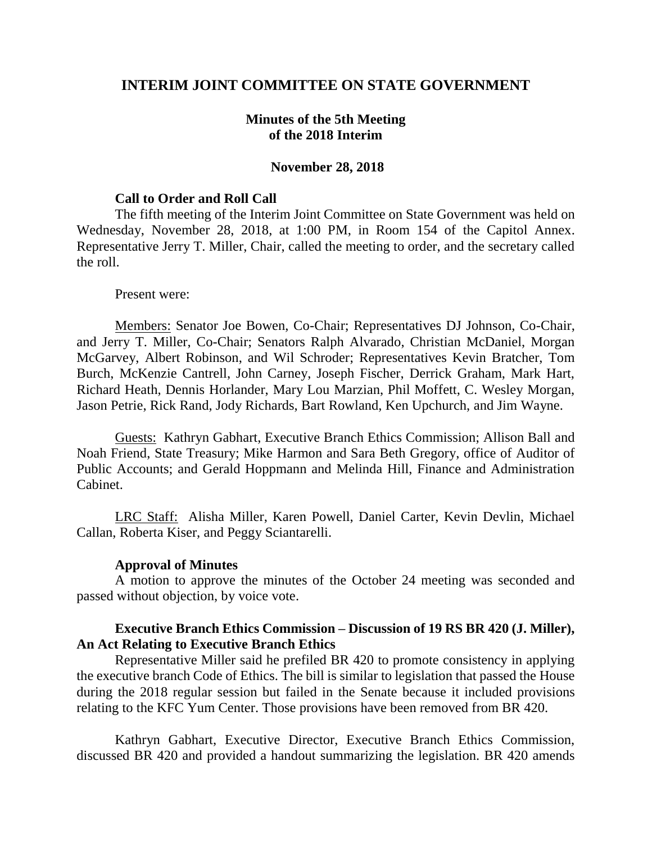## **INTERIM JOINT COMMITTEE ON STATE GOVERNMENT**

## **Minutes of the 5th Meeting of the 2018 Interim**

### **November 28, 2018**

#### **Call to Order and Roll Call**

The fifth meeting of the Interim Joint Committee on State Government was held on Wednesday, November 28, 2018, at 1:00 PM, in Room 154 of the Capitol Annex. Representative Jerry T. Miller, Chair, called the meeting to order, and the secretary called the roll.

#### Present were:

Members: Senator Joe Bowen, Co-Chair; Representatives DJ Johnson, Co-Chair, and Jerry T. Miller, Co-Chair; Senators Ralph Alvarado, Christian McDaniel, Morgan McGarvey, Albert Robinson, and Wil Schroder; Representatives Kevin Bratcher, Tom Burch, McKenzie Cantrell, John Carney, Joseph Fischer, Derrick Graham, Mark Hart, Richard Heath, Dennis Horlander, Mary Lou Marzian, Phil Moffett, C. Wesley Morgan, Jason Petrie, Rick Rand, Jody Richards, Bart Rowland, Ken Upchurch, and Jim Wayne.

Guests: Kathryn Gabhart, Executive Branch Ethics Commission; Allison Ball and Noah Friend, State Treasury; Mike Harmon and Sara Beth Gregory, office of Auditor of Public Accounts; and Gerald Hoppmann and Melinda Hill, Finance and Administration Cabinet.

LRC Staff: Alisha Miller, Karen Powell, Daniel Carter, Kevin Devlin, Michael Callan, Roberta Kiser, and Peggy Sciantarelli.

#### **Approval of Minutes**

A motion to approve the minutes of the October 24 meeting was seconded and passed without objection, by voice vote.

### **Executive Branch Ethics Commission – Discussion of 19 RS BR 420 (J. Miller), An Act Relating to Executive Branch Ethics**

Representative Miller said he prefiled BR 420 to promote consistency in applying the executive branch Code of Ethics. The bill is similar to legislation that passed the House during the 2018 regular session but failed in the Senate because it included provisions relating to the KFC Yum Center. Those provisions have been removed from BR 420.

Kathryn Gabhart, Executive Director, Executive Branch Ethics Commission, discussed BR 420 and provided a handout summarizing the legislation. BR 420 amends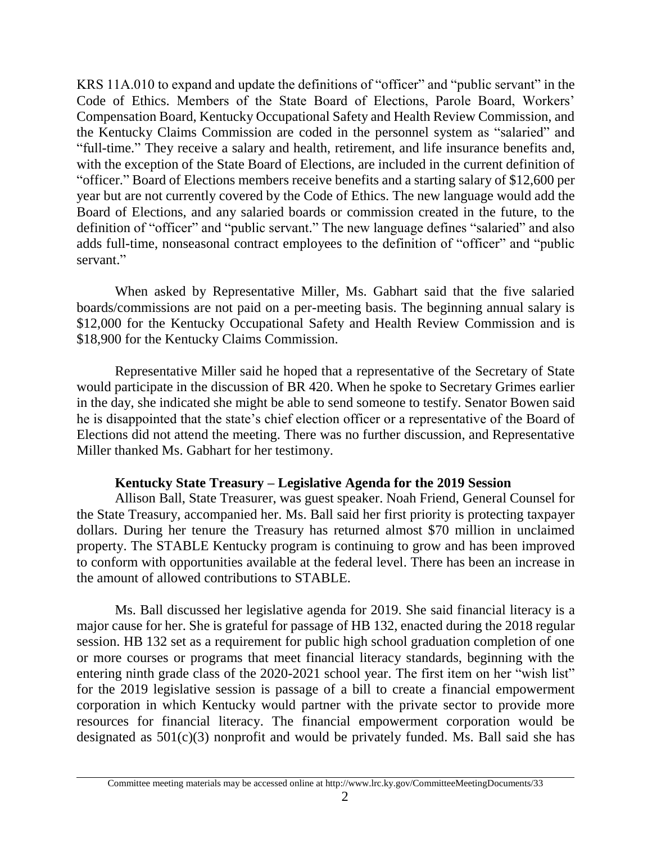KRS 11A.010 to expand and update the definitions of "officer" and "public servant" in the Code of Ethics. Members of the State Board of Elections, Parole Board, Workers' Compensation Board, Kentucky Occupational Safety and Health Review Commission, and the Kentucky Claims Commission are coded in the personnel system as "salaried" and "full-time." They receive a salary and health, retirement, and life insurance benefits and, with the exception of the State Board of Elections, are included in the current definition of "officer." Board of Elections members receive benefits and a starting salary of \$12,600 per year but are not currently covered by the Code of Ethics. The new language would add the Board of Elections, and any salaried boards or commission created in the future, to the definition of "officer" and "public servant." The new language defines "salaried" and also adds full-time, nonseasonal contract employees to the definition of "officer" and "public servant."

When asked by Representative Miller, Ms. Gabhart said that the five salaried boards/commissions are not paid on a per-meeting basis. The beginning annual salary is \$12,000 for the Kentucky Occupational Safety and Health Review Commission and is \$18,900 for the Kentucky Claims Commission.

Representative Miller said he hoped that a representative of the Secretary of State would participate in the discussion of BR 420. When he spoke to Secretary Grimes earlier in the day, she indicated she might be able to send someone to testify. Senator Bowen said he is disappointed that the state's chief election officer or a representative of the Board of Elections did not attend the meeting. There was no further discussion, and Representative Miller thanked Ms. Gabhart for her testimony.

## **Kentucky State Treasury – Legislative Agenda for the 2019 Session**

Allison Ball, State Treasurer, was guest speaker. Noah Friend, General Counsel for the State Treasury, accompanied her. Ms. Ball said her first priority is protecting taxpayer dollars. During her tenure the Treasury has returned almost \$70 million in unclaimed property. The STABLE Kentucky program is continuing to grow and has been improved to conform with opportunities available at the federal level. There has been an increase in the amount of allowed contributions to STABLE.

Ms. Ball discussed her legislative agenda for 2019. She said financial literacy is a major cause for her. She is grateful for passage of HB 132, enacted during the 2018 regular session. HB 132 set as a requirement for public high school graduation completion of one or more courses or programs that meet financial literacy standards, beginning with the entering ninth grade class of the 2020-2021 school year. The first item on her "wish list" for the 2019 legislative session is passage of a bill to create a financial empowerment corporation in which Kentucky would partner with the private sector to provide more resources for financial literacy. The financial empowerment corporation would be designated as 501(c)(3) nonprofit and would be privately funded. Ms. Ball said she has

Committee meeting materials may be accessed online at http://www.lrc.ky.gov/CommitteeMeetingDocuments/33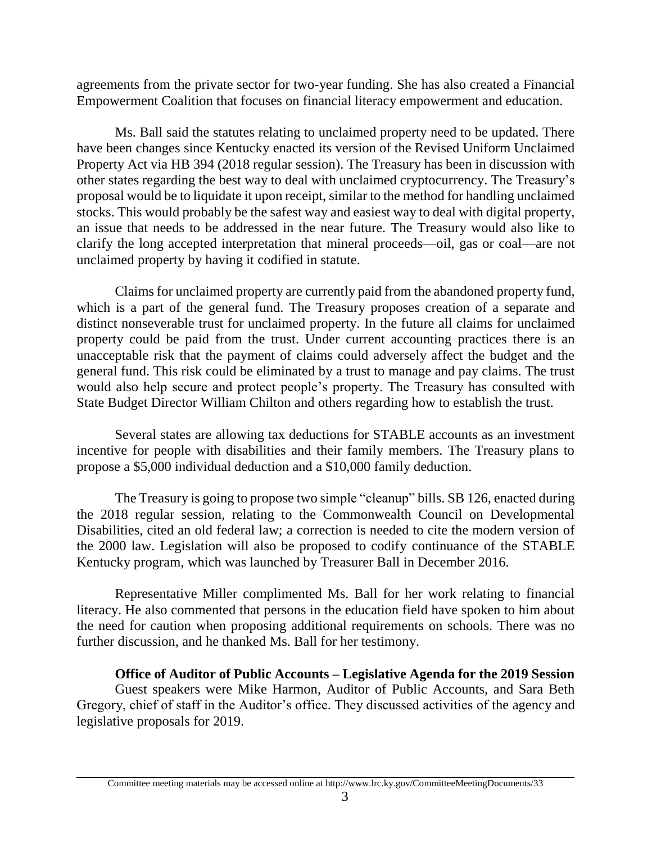agreements from the private sector for two-year funding. She has also created a Financial Empowerment Coalition that focuses on financial literacy empowerment and education.

Ms. Ball said the statutes relating to unclaimed property need to be updated. There have been changes since Kentucky enacted its version of the Revised Uniform Unclaimed Property Act via HB 394 (2018 regular session). The Treasury has been in discussion with other states regarding the best way to deal with unclaimed cryptocurrency. The Treasury's proposal would be to liquidate it upon receipt, similar to the method for handling unclaimed stocks. This would probably be the safest way and easiest way to deal with digital property, an issue that needs to be addressed in the near future. The Treasury would also like to clarify the long accepted interpretation that mineral proceeds—oil, gas or coal—are not unclaimed property by having it codified in statute.

Claims for unclaimed property are currently paid from the abandoned property fund, which is a part of the general fund. The Treasury proposes creation of a separate and distinct nonseverable trust for unclaimed property. In the future all claims for unclaimed property could be paid from the trust. Under current accounting practices there is an unacceptable risk that the payment of claims could adversely affect the budget and the general fund. This risk could be eliminated by a trust to manage and pay claims. The trust would also help secure and protect people's property. The Treasury has consulted with State Budget Director William Chilton and others regarding how to establish the trust.

Several states are allowing tax deductions for STABLE accounts as an investment incentive for people with disabilities and their family members. The Treasury plans to propose a \$5,000 individual deduction and a \$10,000 family deduction.

The Treasury is going to propose two simple "cleanup" bills. SB 126, enacted during the 2018 regular session, relating to the Commonwealth Council on Developmental Disabilities, cited an old federal law; a correction is needed to cite the modern version of the 2000 law. Legislation will also be proposed to codify continuance of the STABLE Kentucky program, which was launched by Treasurer Ball in December 2016.

Representative Miller complimented Ms. Ball for her work relating to financial literacy. He also commented that persons in the education field have spoken to him about the need for caution when proposing additional requirements on schools. There was no further discussion, and he thanked Ms. Ball for her testimony.

**Office of Auditor of Public Accounts – Legislative Agenda for the 2019 Session**

Guest speakers were Mike Harmon, Auditor of Public Accounts, and Sara Beth Gregory, chief of staff in the Auditor's office. They discussed activities of the agency and legislative proposals for 2019.

Committee meeting materials may be accessed online at http://www.lrc.ky.gov/CommitteeMeetingDocuments/33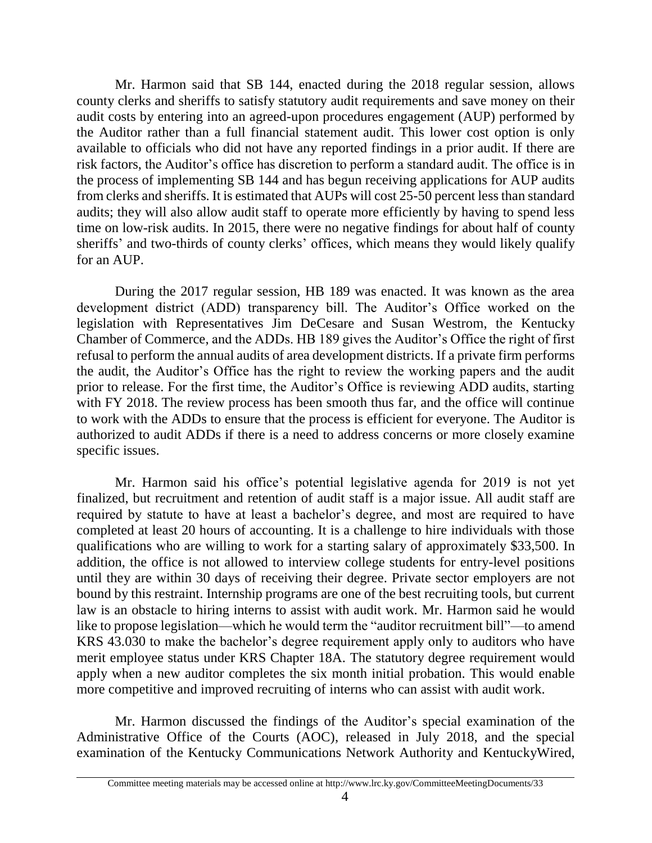Mr. Harmon said that SB 144, enacted during the 2018 regular session, allows county clerks and sheriffs to satisfy statutory audit requirements and save money on their audit costs by entering into an agreed-upon procedures engagement (AUP) performed by the Auditor rather than a full financial statement audit. This lower cost option is only available to officials who did not have any reported findings in a prior audit. If there are risk factors, the Auditor's office has discretion to perform a standard audit. The office is in the process of implementing SB 144 and has begun receiving applications for AUP audits from clerks and sheriffs. It is estimated that AUPs will cost 25-50 percent less than standard audits; they will also allow audit staff to operate more efficiently by having to spend less time on low-risk audits. In 2015, there were no negative findings for about half of county sheriffs' and two-thirds of county clerks' offices, which means they would likely qualify for an AUP.

During the 2017 regular session, HB 189 was enacted. It was known as the area development district (ADD) transparency bill. The Auditor's Office worked on the legislation with Representatives Jim DeCesare and Susan Westrom, the Kentucky Chamber of Commerce, and the ADDs. HB 189 gives the Auditor's Office the right of first refusal to perform the annual audits of area development districts. If a private firm performs the audit, the Auditor's Office has the right to review the working papers and the audit prior to release. For the first time, the Auditor's Office is reviewing ADD audits, starting with FY 2018. The review process has been smooth thus far, and the office will continue to work with the ADDs to ensure that the process is efficient for everyone. The Auditor is authorized to audit ADDs if there is a need to address concerns or more closely examine specific issues.

Mr. Harmon said his office's potential legislative agenda for 2019 is not yet finalized, but recruitment and retention of audit staff is a major issue. All audit staff are required by statute to have at least a bachelor's degree, and most are required to have completed at least 20 hours of accounting. It is a challenge to hire individuals with those qualifications who are willing to work for a starting salary of approximately \$33,500. In addition, the office is not allowed to interview college students for entry-level positions until they are within 30 days of receiving their degree. Private sector employers are not bound by this restraint. Internship programs are one of the best recruiting tools, but current law is an obstacle to hiring interns to assist with audit work. Mr. Harmon said he would like to propose legislation—which he would term the "auditor recruitment bill"—to amend KRS 43.030 to make the bachelor's degree requirement apply only to auditors who have merit employee status under KRS Chapter 18A. The statutory degree requirement would apply when a new auditor completes the six month initial probation. This would enable more competitive and improved recruiting of interns who can assist with audit work.

Mr. Harmon discussed the findings of the Auditor's special examination of the Administrative Office of the Courts (AOC), released in July 2018, and the special examination of the Kentucky Communications Network Authority and KentuckyWired,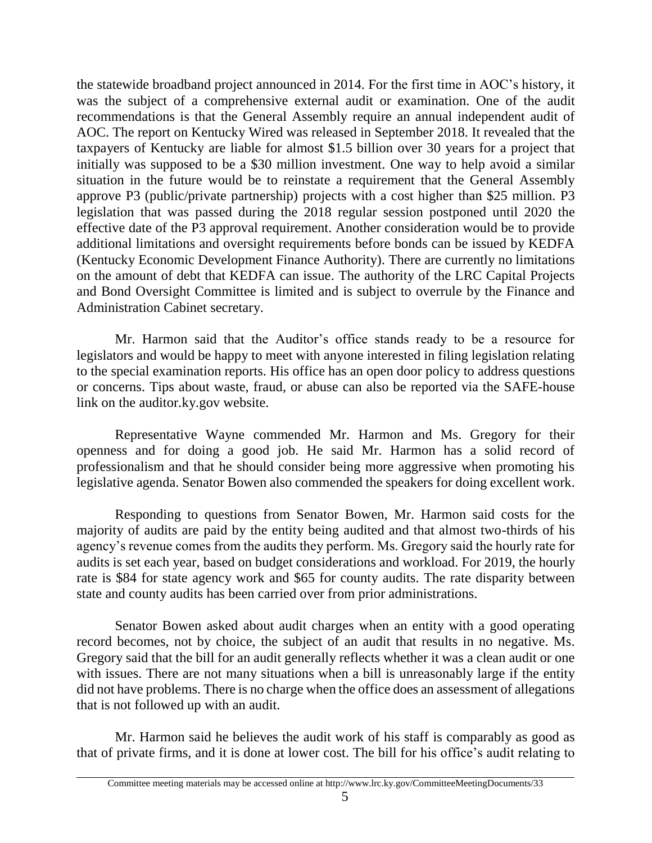the statewide broadband project announced in 2014. For the first time in AOC's history, it was the subject of a comprehensive external audit or examination. One of the audit recommendations is that the General Assembly require an annual independent audit of AOC. The report on Kentucky Wired was released in September 2018. It revealed that the taxpayers of Kentucky are liable for almost \$1.5 billion over 30 years for a project that initially was supposed to be a \$30 million investment. One way to help avoid a similar situation in the future would be to reinstate a requirement that the General Assembly approve P3 (public/private partnership) projects with a cost higher than \$25 million. P3 legislation that was passed during the 2018 regular session postponed until 2020 the effective date of the P3 approval requirement. Another consideration would be to provide additional limitations and oversight requirements before bonds can be issued by KEDFA (Kentucky Economic Development Finance Authority). There are currently no limitations on the amount of debt that KEDFA can issue. The authority of the LRC Capital Projects and Bond Oversight Committee is limited and is subject to overrule by the Finance and Administration Cabinet secretary.

Mr. Harmon said that the Auditor's office stands ready to be a resource for legislators and would be happy to meet with anyone interested in filing legislation relating to the special examination reports. His office has an open door policy to address questions or concerns. Tips about waste, fraud, or abuse can also be reported via the SAFE-house link on the auditor.ky.gov website.

Representative Wayne commended Mr. Harmon and Ms. Gregory for their openness and for doing a good job. He said Mr. Harmon has a solid record of professionalism and that he should consider being more aggressive when promoting his legislative agenda. Senator Bowen also commended the speakers for doing excellent work.

Responding to questions from Senator Bowen, Mr. Harmon said costs for the majority of audits are paid by the entity being audited and that almost two-thirds of his agency's revenue comes from the audits they perform. Ms. Gregory said the hourly rate for audits is set each year, based on budget considerations and workload. For 2019, the hourly rate is \$84 for state agency work and \$65 for county audits. The rate disparity between state and county audits has been carried over from prior administrations.

Senator Bowen asked about audit charges when an entity with a good operating record becomes, not by choice, the subject of an audit that results in no negative. Ms. Gregory said that the bill for an audit generally reflects whether it was a clean audit or one with issues. There are not many situations when a bill is unreasonably large if the entity did not have problems. There is no charge when the office does an assessment of allegations that is not followed up with an audit.

Mr. Harmon said he believes the audit work of his staff is comparably as good as that of private firms, and it is done at lower cost. The bill for his office's audit relating to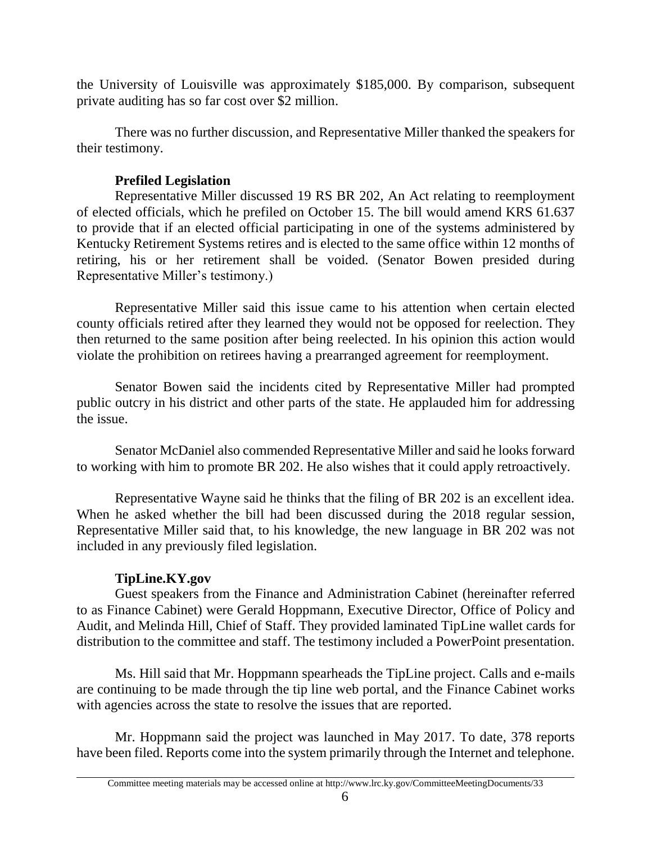the University of Louisville was approximately \$185,000. By comparison, subsequent private auditing has so far cost over \$2 million.

There was no further discussion, and Representative Miller thanked the speakers for their testimony.

# **Prefiled Legislation**

Representative Miller discussed 19 RS BR 202, An Act relating to reemployment of elected officials, which he prefiled on October 15. The bill would amend KRS 61.637 to provide that if an elected official participating in one of the systems administered by Kentucky Retirement Systems retires and is elected to the same office within 12 months of retiring, his or her retirement shall be voided. (Senator Bowen presided during Representative Miller's testimony.)

Representative Miller said this issue came to his attention when certain elected county officials retired after they learned they would not be opposed for reelection. They then returned to the same position after being reelected. In his opinion this action would violate the prohibition on retirees having a prearranged agreement for reemployment.

Senator Bowen said the incidents cited by Representative Miller had prompted public outcry in his district and other parts of the state. He applauded him for addressing the issue.

Senator McDaniel also commended Representative Miller and said he looks forward to working with him to promote BR 202. He also wishes that it could apply retroactively.

Representative Wayne said he thinks that the filing of BR 202 is an excellent idea. When he asked whether the bill had been discussed during the 2018 regular session, Representative Miller said that, to his knowledge, the new language in BR 202 was not included in any previously filed legislation.

# **TipLine.KY.gov**

Guest speakers from the Finance and Administration Cabinet (hereinafter referred to as Finance Cabinet) were Gerald Hoppmann, Executive Director, Office of Policy and Audit, and Melinda Hill, Chief of Staff. They provided laminated TipLine wallet cards for distribution to the committee and staff. The testimony included a PowerPoint presentation.

Ms. Hill said that Mr. Hoppmann spearheads the TipLine project. Calls and e-mails are continuing to be made through the tip line web portal, and the Finance Cabinet works with agencies across the state to resolve the issues that are reported.

Mr. Hoppmann said the project was launched in May 2017. To date, 378 reports have been filed. Reports come into the system primarily through the Internet and telephone.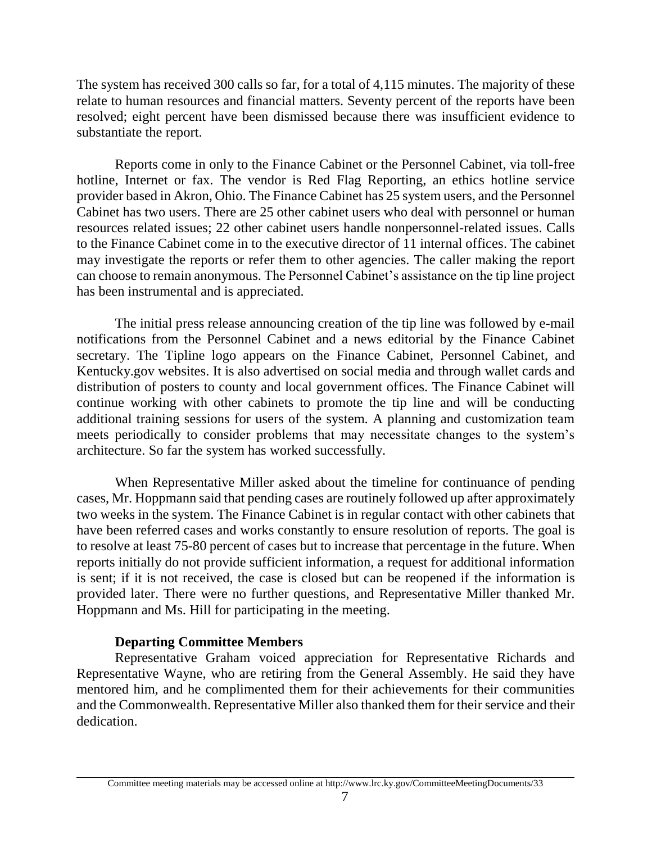The system has received 300 calls so far, for a total of 4,115 minutes. The majority of these relate to human resources and financial matters. Seventy percent of the reports have been resolved; eight percent have been dismissed because there was insufficient evidence to substantiate the report.

Reports come in only to the Finance Cabinet or the Personnel Cabinet, via toll-free hotline, Internet or fax. The vendor is Red Flag Reporting, an ethics hotline service provider based in Akron, Ohio. The Finance Cabinet has 25 system users, and the Personnel Cabinet has two users. There are 25 other cabinet users who deal with personnel or human resources related issues; 22 other cabinet users handle nonpersonnel-related issues. Calls to the Finance Cabinet come in to the executive director of 11 internal offices. The cabinet may investigate the reports or refer them to other agencies. The caller making the report can choose to remain anonymous. The Personnel Cabinet's assistance on the tip line project has been instrumental and is appreciated.

The initial press release announcing creation of the tip line was followed by e-mail notifications from the Personnel Cabinet and a news editorial by the Finance Cabinet secretary. The Tipline logo appears on the Finance Cabinet, Personnel Cabinet, and Kentucky.gov websites. It is also advertised on social media and through wallet cards and distribution of posters to county and local government offices. The Finance Cabinet will continue working with other cabinets to promote the tip line and will be conducting additional training sessions for users of the system. A planning and customization team meets periodically to consider problems that may necessitate changes to the system's architecture. So far the system has worked successfully.

When Representative Miller asked about the timeline for continuance of pending cases, Mr. Hoppmann said that pending cases are routinely followed up after approximately two weeks in the system. The Finance Cabinet is in regular contact with other cabinets that have been referred cases and works constantly to ensure resolution of reports. The goal is to resolve at least 75-80 percent of cases but to increase that percentage in the future. When reports initially do not provide sufficient information, a request for additional information is sent; if it is not received, the case is closed but can be reopened if the information is provided later. There were no further questions, and Representative Miller thanked Mr. Hoppmann and Ms. Hill for participating in the meeting.

## **Departing Committee Members**

Representative Graham voiced appreciation for Representative Richards and Representative Wayne, who are retiring from the General Assembly. He said they have mentored him, and he complimented them for their achievements for their communities and the Commonwealth. Representative Miller also thanked them for their service and their dedication.

Committee meeting materials may be accessed online at http://www.lrc.ky.gov/CommitteeMeetingDocuments/33